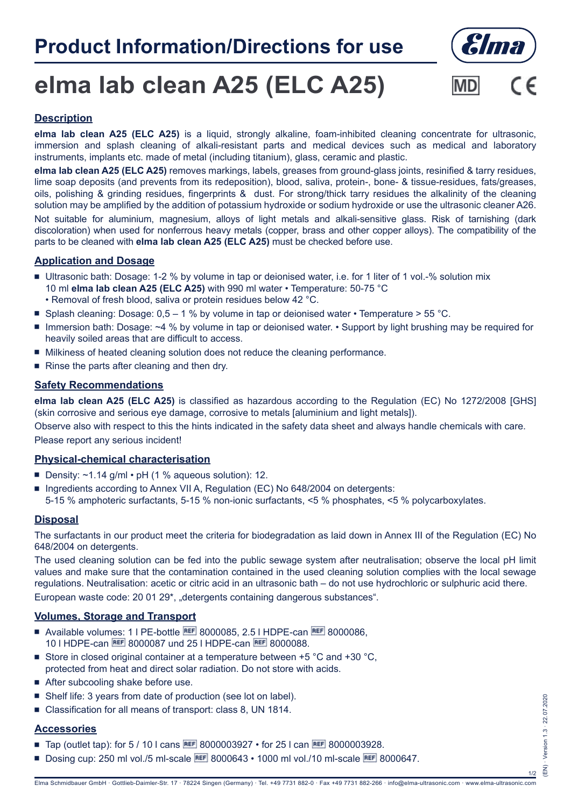# **Product Information/Directions for use**



# **elma lab clean A25 (ELC A25)**



## **Description**

**elma lab clean A25 (ELC A25)** is a liquid, strongly alkaline, foam-inhibited cleaning concentrate for ultrasonic, immersion and splash cleaning of alkali-resistant parts and medical devices such as medical and laboratory instruments, implants etc. made of metal (including titanium), glass, ceramic and plastic.

**elma lab clean A25 (ELC A25)** removes markings, labels, greases from ground-glass joints, resinified & tarry residues, lime soap deposits (and prevents from its redeposition), blood, saliva, protein-, bone- & tissue-residues, fats/greases, oils, polishing & grinding residues, fingerprints & dust. For strong/thick tarry residues the alkalinity of the cleaning solution may be amplified by the addition of potassium hydroxide or sodium hydroxide or use the ultrasonic cleaner A26. Not suitable for aluminium, magnesium, alloys of light metals and alkali-sensitive glass. Risk of tarnishing (dark discoloration) when used for nonferrous heavy metals (copper, brass and other copper alloys). The compatibility of the parts to be cleaned with **elma lab clean A25 (ELC A25)** must be checked before use.

### **Application and Dosage**

- Ultrasonic bath: Dosage: 1-2 % by volume in tap or deionised water, i.e. for 1 liter of 1 vol.-% solution mix 10 ml **elma lab clean A25 (ELC A25)** with 990 ml water • Temperature: 50-75 °C • Removal of fresh blood, saliva or protein residues below 42 °C.
	-
- **Splash cleaning: Dosage: 0,5 1 % by volume in tap or deionised water Temperature > 55 °C.**
- Immersion bath: Dosage: ~4 % by volume in tap or deionised water. Support by light brushing may be required for heavily soiled areas that are difficult to access.
- $\blacksquare$  Milkiness of heated cleaning solution does not reduce the cleaning performance.
- $\blacksquare$  Rinse the parts after cleaning and then dry.

### **Safety Recommendations**

**elma lab clean A25 (ELC A25)** is classified as hazardous according to the Regulation (EC) No 1272/2008 [GHS] (skin corrosive and serious eye damage, corrosive to metals [aluminium and light metals]).

Observe also with respect to this the hints indicated in the safety data sheet and always handle chemicals with care. Please report any serious incident!

#### **Physical-chemical characterisation**

- Density:  $\sim$ 1.14 g/ml pH (1 % aqueous solution): 12.
- **Ingredients according to Annex VII A, Regulation (EC) No 648/2004 on detergents:** 5-15 % amphoteric surfactants, 5-15 % non-ionic surfactants, <5 % phosphates, <5 % polycarboxylates.

# **Disposal**

The surfactants in our product meet the criteria for biodegradation as laid down in Annex III of the Regulation (EC) No 648/2004 on detergents.

The used cleaning solution can be fed into the public sewage system after neutralisation; observe the local pH limit values and make sure that the contamination contained in the used cleaning solution complies with the local sewage regulations. Neutralisation: acetic or citric acid in an ultrasonic bath – do not use hydrochloric or sulphuric acid there. European waste code: 20 01 29\*, "detergents containing dangerous substances".

### **Volumes, Storage and Transport**

- Available volumes: 1 | PE-bottle **BEF** 8000085, 2.5 | HDPE-can **BEF** 8000086, 10 I HDPE-can REE 8000087 und 25 I HDPE-can REE 8000088.
- Store in closed original container at a temperature between  $+5$  °C and  $+30$  °C. protected from heat and direct solar radiation. Do not store with acids.
- $\blacksquare$  After subcooling shake before use.
- Shelf life: 3 years from date of production (see lot on label).
- <sup>Q</sup> Classification for all means of transport: class 8, UN 1814.

### **Accessories**

- **Tap (outlet tap): for 5 / 10 l cans REF 8000003927 for 25 l can REF 8000003928.**
- Dosing cup: 250 ml vol./5 ml-scale **BEF** 8000643 1000 ml vol./10 ml-scale **BEF** 8000647.

1/2